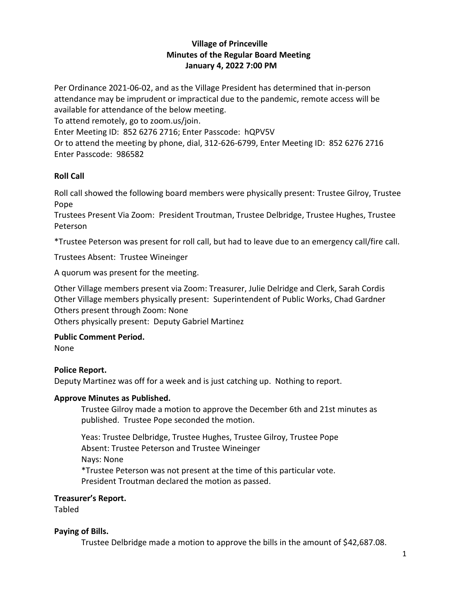# **Village of Princeville Minutes of the Regular Board Meeting January 4, 2022 7:00 PM**

Per Ordinance 2021-06-02, and as the Village President has determined that in-person attendance may be imprudent or impractical due to the pandemic, remote access will be available for attendance of the below meeting.

To attend remotely, go to zoom.us/join.

Enter Meeting ID: 852 6276 2716; Enter Passcode: hQPV5V

Or to attend the meeting by phone, dial, 312-626-6799, Enter Meeting ID: 852 6276 2716 Enter Passcode: 986582

# **Roll Call**

Roll call showed the following board members were physically present: Trustee Gilroy, Trustee Pope

Trustees Present Via Zoom: President Troutman, Trustee Delbridge, Trustee Hughes, Trustee Peterson

\*Trustee Peterson was present for roll call, but had to leave due to an emergency call/fire call.

Trustees Absent: Trustee Wineinger

A quorum was present for the meeting.

Other Village members present via Zoom: Treasurer, Julie Delridge and Clerk, Sarah Cordis Other Village members physically present: Superintendent of Public Works, Chad Gardner Others present through Zoom: None

Others physically present: Deputy Gabriel Martinez

# **Public Comment Period.**

None

# **Police Report.**

Deputy Martinez was off for a week and is just catching up. Nothing to report.

# **Approve Minutes as Published.**

Trustee Gilroy made a motion to approve the December 6th and 21st minutes as published. Trustee Pope seconded the motion.

Yeas: Trustee Delbridge, Trustee Hughes, Trustee Gilroy, Trustee Pope Absent: Trustee Peterson and Trustee Wineinger Nays: None \*Trustee Peterson was not present at the time of this particular vote. President Troutman declared the motion as passed.

# **Treasurer's Report.**

Tabled

# **Paying of Bills.**

Trustee Delbridge made a motion to approve the bills in the amount of \$42,687.08.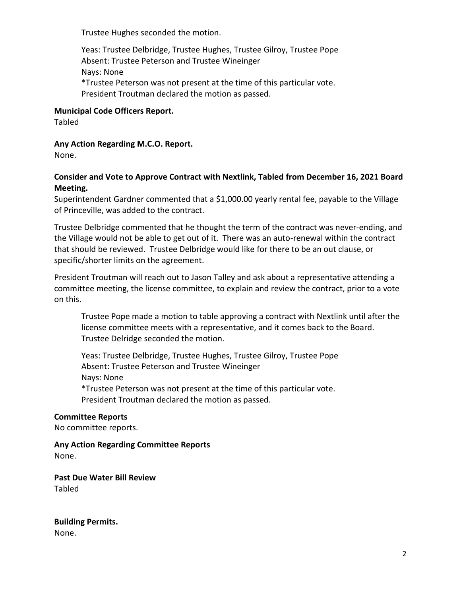Trustee Hughes seconded the motion.

Yeas: Trustee Delbridge, Trustee Hughes, Trustee Gilroy, Trustee Pope Absent: Trustee Peterson and Trustee Wineinger Nays: None \*Trustee Peterson was not present at the time of this particular vote. President Troutman declared the motion as passed.

## **Municipal Code Officers Report.**

Tabled

## **Any Action Regarding M.C.O. Report.**

None.

# **Consider and Vote to Approve Contract with Nextlink, Tabled from December 16, 2021 Board Meeting.**

Superintendent Gardner commented that a \$1,000.00 yearly rental fee, payable to the Village of Princeville, was added to the contract.

Trustee Delbridge commented that he thought the term of the contract was never-ending, and the Village would not be able to get out of it. There was an auto-renewal within the contract that should be reviewed. Trustee Delbridge would like for there to be an out clause, or specific/shorter limits on the agreement.

President Troutman will reach out to Jason Talley and ask about a representative attending a committee meeting, the license committee, to explain and review the contract, prior to a vote on this.

Trustee Pope made a motion to table approving a contract with Nextlink until after the license committee meets with a representative, and it comes back to the Board. Trustee Delridge seconded the motion.

Yeas: Trustee Delbridge, Trustee Hughes, Trustee Gilroy, Trustee Pope Absent: Trustee Peterson and Trustee Wineinger Nays: None \*Trustee Peterson was not present at the time of this particular vote. President Troutman declared the motion as passed.

### **Committee Reports**

No committee reports.

**Any Action Regarding Committee Reports** None.

**Past Due Water Bill Review** Tabled

**Building Permits.**  None.